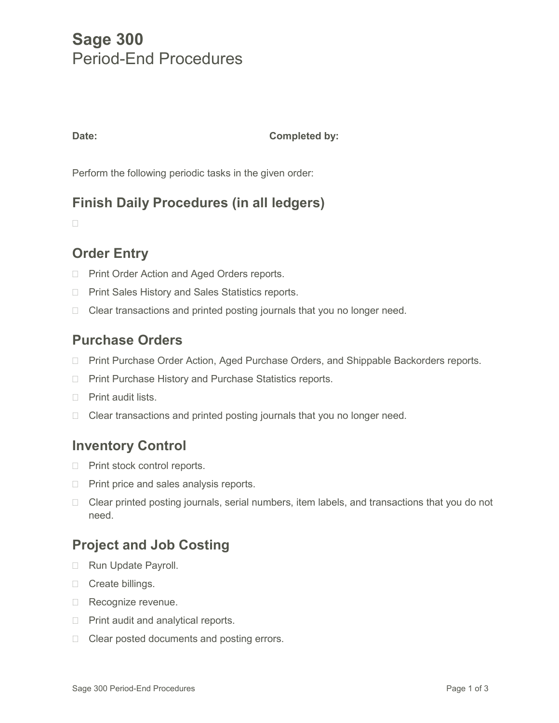# **Sage 300** Period-End Procedures

#### **Date: Completed by:**

Perform the following periodic tasks in the given order:

# **Finish Daily Procedures (in all ledgers)**

 $\Box$ 

# **Order Entry**

- **Print Order Action and Aged Orders reports.**
- □ Print Sales History and Sales Statistics reports.
- $\Box$  Clear transactions and printed posting journals that you no longer need.

#### **Purchase Orders**

- □ Print Purchase Order Action, Aged Purchase Orders, and Shippable Backorders reports.
- □ Print Purchase History and Purchase Statistics reports.
- **Print audit lists.**
- $\Box$  Clear transactions and printed posting journals that you no longer need.

#### **Inventory Control**

- □ Print stock control reports.
- $\Box$  Print price and sales analysis reports.
- $\Box$  Clear printed posting journals, serial numbers, item labels, and transactions that you do not need.

# **Project and Job Costing**

- Run Update Payroll.
- □ Create billings.
- Recognize revenue.
- $\Box$  Print audit and analytical reports.
- $\Box$  Clear posted documents and posting errors.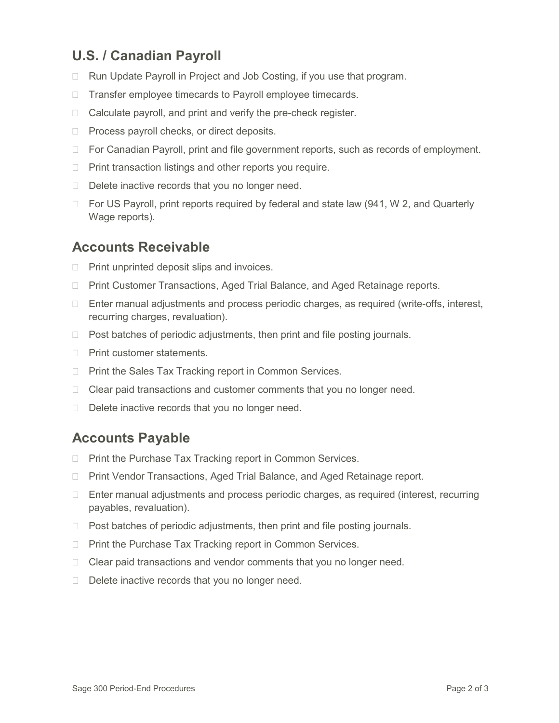# **U.S. / Canadian Payroll**

- □ Run Update Payroll in Project and Job Costing, if you use that program.
- □ Transfer employee timecards to Payroll employee timecards.
- $\Box$  Calculate payroll, and print and verify the pre-check register.
- $\Box$  Process payroll checks, or direct deposits.
- $\Box$  For Canadian Payroll, print and file government reports, such as records of employment.
- $\Box$  Print transaction listings and other reports you require.
- $\Box$  Delete inactive records that you no longer need.
- $\Box$  For US Payroll, print reports required by federal and state law (941, W 2, and Quarterly Wage reports).

#### **Accounts Receivable**

- $\Box$  Print unprinted deposit slips and invoices.
- □ Print Customer Transactions, Aged Trial Balance, and Aged Retainage reports.
- $\Box$  Enter manual adjustments and process periodic charges, as required (write-offs, interest, recurring charges, revaluation).
- $\Box$  Post batches of periodic adjustments, then print and file posting journals.
- $\Box$  Print customer statements.
- $\Box$  Print the Sales Tax Tracking report in Common Services.
- $\Box$  Clear paid transactions and customer comments that you no longer need.
- $\Box$  Delete inactive records that you no longer need.

#### **Accounts Payable**

- $\Box$  Print the Purchase Tax Tracking report in Common Services.
- □ Print Vendor Transactions, Aged Trial Balance, and Aged Retainage report.
- □ Enter manual adjustments and process periodic charges, as required (interest, recurring payables, revaluation).
- $\Box$  Post batches of periodic adjustments, then print and file posting journals.
- $\Box$  Print the Purchase Tax Tracking report in Common Services.
- $\Box$  Clear paid transactions and vendor comments that you no longer need.
- $\Box$  Delete inactive records that you no longer need.